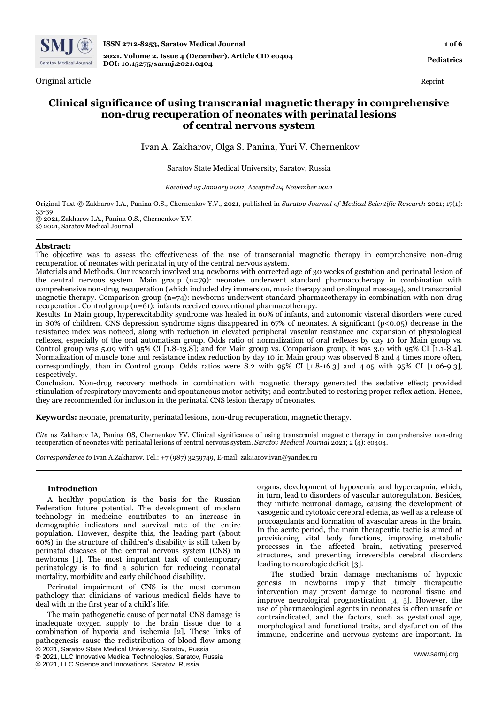

Original article Reprint

# **Clinical significance of using transcranial magnetic therapy in comprehensive non-drug recuperation of neonates with perinatal lesions of central nervous system**

Ivan A. Zakharov, Olga S. Panina, Yuri V. Chernenkov

## Saratov State Medical University, Saratov, Russia

*Received 25 January 2021, Accepted 24 November 2021*

Original Text © Zakharov I.A., Panina O.S., Chernenkov Y.V., 2021, published in *Saratov Journal of Medical Scientific Research* 2021; 17(1): 33-39.

© 2021, Zakharov I.A., Panina O.S., Chernenkov Y.V.

© 2021, Saratov Medical Journal

## **Abstract:**

The objective was to assess the effectiveness of the use of transcranial magnetic therapy in comprehensive non-drug recuperation of neonates with perinatal injury of the central nervous system.

Materials and Methods. Our research involved 214 newborns with corrected age of 30 weeks of gestation and perinatal lesion of the central nervous system. Main group (n=79): neonates underwent standard pharmacotherapy in combination with comprehensive non-drug recuperation (which included dry immersion, music therapy and orolingual massage), and transcranial magnetic therapy. Comparison group (n=74): newborns underwent standard pharmacotherapy in combination with non-drug recuperation. Control group (n=61): infants received conventional pharmacotherapy.

Results. In Main group, hyperexcitability syndrome was healed in 60% of infants, and autonomic visceral disorders were cured in 80% of children. CNS depression syndrome signs disappeared in 67% of neonates. A significant (p<0.05) decrease in the resistance index was noticed, along with reduction in elevated peripheral vascular resistance and expansion of physiological reflexes, especially of the oral automatism group. Odds ratio of normalization of oral reflexes by day 10 for Main group vs. Control group was 5.09 with 95% CI [1.8-13.8]; and for Main group vs. Comparison group, it was 3.0 with 95% CI [1.1-8.4]. Normalization of muscle tone and resistance index reduction by day 10 in Main group was observed 8 and 4 times more often, correspondingly, than in Control group. Odds ratios were 8.2 with 95% CI [1.8-16.3] and 4.05 with 95% CI [1.06-9.3], respectively.

Conclusion. Non-drug recovery methods in combination with magnetic therapy generated the sedative effect; provided stimulation of respiratory movements and spontaneous motor activity; and contributed to restoring proper reflex action. Hence, they are recommended for inclusion in the perinatal CNS lesion therapy of neonates.

**Keywords:** neonate, prematurity, perinatal lesions, non-drug recuperation, magnetic therapy.

*Cite as* Zakharov IA, Panina OS, Chernenkov YV. Clinical significance of using transcranial magnetic therapy in comprehensive non-drug recuperation of neonates with perinatal lesions of central nervous system. *Saratov Medical Journal* 2021; 2 (4): e0404.

*Correspondence to* Ivan A.Zakharov. Tel.: +7 (987) 3259749, E-mail: zak4arov.ivan@yandex.ru

## **Introduction**

A healthy population is the basis for the Russian Federation future potential. The development of modern technology in medicine contributes to an increase in demographic indicators and survival rate of the entire population. However, despite this, the leading part (about 60%) in the structure of children's disability is still taken by perinatal diseases of the central nervous system (CNS) in newborns [1]. The most important task of contemporary perinatology is to find a solution for reducing neonatal mortality, morbidity and early childhood disability.

Perinatal impairment of CNS is the most common pathology that clinicians of various medical fields have to deal with in the first year of a child's life.

The main pathogenetic cause of perinatal CNS damage is inadequate oxygen supply to the brain tissue due to a combination of hypoxia and ischemia [2]. These links of pathogenesis cause the redistribution of blood flow among organs, development of hypoxemia and hypercapnia, which, in turn, lead to disorders of vascular autoregulation. Besides, they initiate neuronal damage, causing the development of vasogenic and cytotoxic cerebral edema, as well as a release of procoagulants and formation of avascular areas in the brain. In the acute period, the main therapeutic tactic is aimed at provisioning vital body functions, improving metabolic processes in the affected brain, activating preserved structures, and preventing irreversible cerebral disorders leading to neurologic deficit [3].

The studied brain damage mechanisms of hypoxic genesis in newborns imply that timely therapeutic intervention may prevent damage to neuronal tissue and improve neurological prognostication [4, 5]. However, the use of pharmacological agents in neonates is often unsafe or contraindicated, and the factors, such as gestational age, morphological and functional traits, and dysfunction of the immune, endocrine and nervous systems are important. In

<sup>©</sup> 2021, Saratov State Medical University, Saratov, Russia

<sup>©</sup> 2021, LLC Innovative Medical Technologies, Saratov, Russia

<sup>©</sup> 2021, LLC Science and Innovations, Saratov, Russia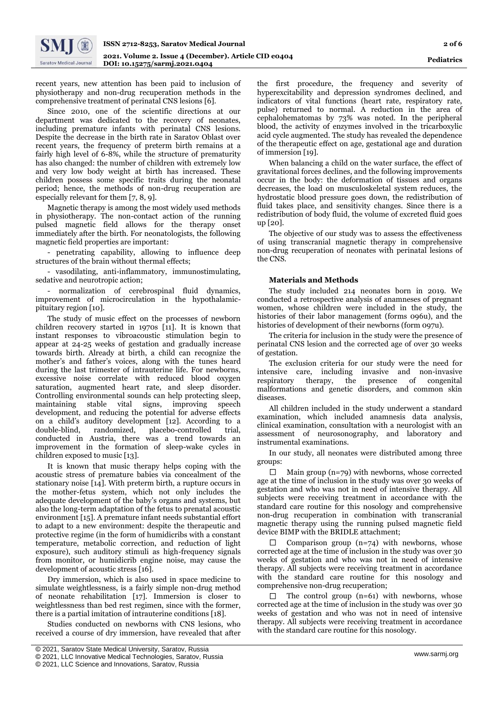recent years, new attention has been paid to inclusion of physiotherapy and non-drug recuperation methods in the comprehensive treatment of perinatal CNS lesions [6].

Since 2010, one of the scientific directions at our department was dedicated to the recovery of neonates, including premature infants with perinatal CNS lesions. Despite the decrease in the birth rate in Saratov Oblast over recent years, the frequency of preterm birth remains at a fairly high level of 6-8%, while the structure of prematurity has also changed: the number of children with extremely low and very low body weight at birth has increased. These children possess some specific traits during the neonatal period; hence, the methods of non-drug recuperation are especially relevant for them [7, 8, 9].

Magnetic therapy is among the most widely used methods in physiotherapy. The non-contact action of the running pulsed magnetic field allows for the therapy onset immediately after the birth. For neonatologists, the following magnetic field properties are important:

- penetrating capability, allowing to influence deep structures of the brain without thermal effects;

- vasodilating, anti-inflammatory, immunostimulating, sedative and neurotropic action;

normalization of cerebrospinal fluid dynamics, improvement of microcirculation in the hypothalamicpituitary region [10].

The study of music effect on the processes of newborn children recovery started in 1970s  $\lceil 1 \rceil$ . It is known that instant responses to vibroacoustic stimulation begin to appear at 24-25 weeks of gestation and gradually increase towards birth. Already at birth, a child can recognize the mother's and father's voices, along with the tunes heard during the last trimester of intrauterine life. For newborns, excessive noise correlate with reduced blood oxygen saturation, augmented heart rate, and sleep disorder. Controlling environmental sounds can help protecting sleep, maintaining stable vital signs, improving speech development, and reducing the potential for adverse effects on a child's auditory development [12]. According to a double-blind, randomized, placebo-controlled trial, conducted in Austria, there was a trend towards an improvement in the formation of sleep-wake cycles in children exposed to music [13].

It is known that music therapy helps coping with the acoustic stress of premature babies via concealment of the stationary noise [14]. With preterm birth, a rupture occurs in the mother-fetus system, which not only includes the adequate development of the baby's organs and systems, but also the long-term adaptation of the fetus to prenatal acoustic environment [15]. A premature infant needs substantial effort to adapt to a new environment: despite the therapeutic and protective regime (in the form of humidicribs with a constant temperature, metabolic correction, and reduction of light exposure), such auditory stimuli as high-frequency signals from monitor, or humidicrib engine noise, may cause the development of acoustic stress [16].

Dry immersion, which is also used in space medicine to simulate weightlessness, is a fairly simple non-drug method of neonate rehabilitation [17]. Immersion is closer to weightlessness than bed rest regimen, since with the former, there is a partial imitation of intrauterine conditions [18].

Studies conducted on newborns with CNS lesions, who received a course of dry immersion, have revealed that after

the first procedure, the frequency and severity of hyperexcitability and depression syndromes declined, and indicators of vital functions (heart rate, respiratory rate, pulse) returned to normal. A reduction in the area of cephalohematomas by 73% was noted. In the peripheral blood, the activity of enzymes involved in the tricarboxylic acid cycle augmented. The study has revealed the dependence of the therapeutic effect on age, gestational age and duration of immersion [19].

When balancing a child on the water surface, the effect of gravitational forces declines, and the following improvements occur in the body: the deformation of tissues and organs decreases, the load on musculoskeletal system reduces, the hydrostatic blood pressure goes down, the redistribution of fluid takes place, and sensitivity changes. Since there is a redistribution of body fluid, the volume of excreted fluid goes up [20].

The objective of our study was to assess the effectiveness of using transcranial magnetic therapy in comprehensive non-drug recuperation of neonates with perinatal lesions of the CNS.

## **Materials and Methods**

The study included 214 neonates born in 2019. We conducted a retrospective analysis of anamneses of pregnant women, whose children were included in the study, the histories of their labor management (forms 096u), and the histories of development of their newborns (form 097u).

The criteria for inclusion in the study were the presence of perinatal CNS lesion and the corrected age of over 30 weeks of gestation.

The exclusion criteria for our study were the need for intensive care, including invasive and non-invasive respiratory therapy, the presence of congenital malformations and genetic disorders, and common skin diseases.

All children included in the study underwent a standard examination, which included anamnesis data analysis, clinical examination, consultation with a neurologist with an assessment of neurosonography, and laboratory and instrumental examinations.

In our study, all neonates were distributed among three groups:

Main group (n=79) with newborns, whose corrected age at the time of inclusion in the study was over 30 weeks of gestation and who was not in need of intensive therapy. All subjects were receiving treatment in accordance with the standard care routine for this nosology and comprehensive non-drug recuperation in combination with transcranial magnetic therapy using the running pulsed magnetic field device BIMP with the BRIDLE attachment;

Comparison group  $(n=74)$  with newborns, whose corrected age at the time of inclusion in the study was over 30 weeks of gestation and who was not in need of intensive therapy. All subjects were receiving treatment in accordance with the standard care routine for this nosology and comprehensive non-drug recuperation;

The control group (n=61) with newborns, whose corrected age at the time of inclusion in the study was over 30 weeks of gestation and who was not in need of intensive therapy. All subjects were receiving treatment in accordance with the standard care routine for this nosology.

<sup>[</sup> © 2021, Saratov State Medical University, Saratov, Russia

<sup>©</sup> 2021, LLC Innovative Medical Technologies, Saratov, Russia

<sup>©</sup> 2021, LLC Science and Innovations, Saratov, Russia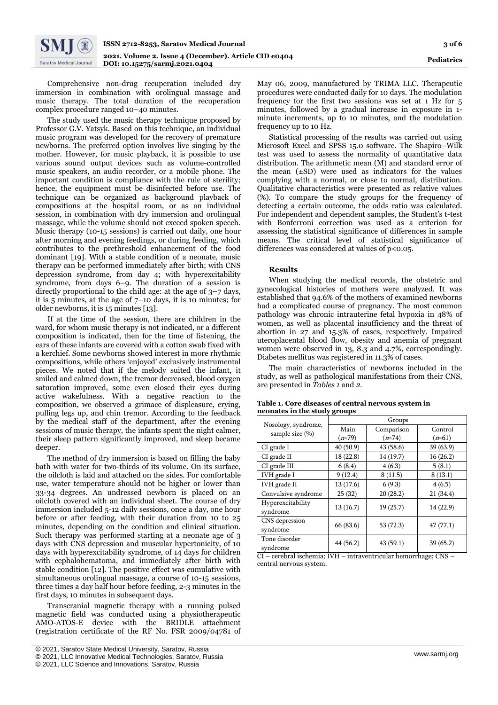

Comprehensive non-drug recuperation included dry immersion in combination with orolingual massage and music therapy. The total duration of the recuperation complex procedure ranged 10–40 minutes.

The study used the music therapy technique proposed by Professor G.V. Yatsyk. Based on this technique, an individual music program was developed for the recovery of premature newborns. The preferred option involves live singing by the mother. However, for music playback, it is possible to use various sound output devices such as volume-controlled music speakers, an audio recorder, or a mobile phone. The important condition is compliance with the rule of sterility; hence, the equipment must be disinfected before use. The technique can be organized as background playback of compositions at the hospital room, or as an individual session, in combination with dry immersion and orolingual massage, while the volume should not exceed spoken speech. Music therapy (10-15 sessions) is carried out daily, one hour after morning and evening feedings, or during feeding, which contributes to the prethreshold enhancement of the food dominant [19]. With a stable condition of a neonate, music therapy can be performed immediately after birth; with CNS depression syndrome, from day 4; with hyperexcitability syndrome, from days 6–9. The duration of a session is directly proportional to the child age: at the age of 3–7 days, it is 5 minutes, at the age of 7–10 days, it is 10 minutes; for older newborns, it is 15 minutes [13].

If at the time of the session, there are children in the ward, for whom music therapy is not indicated, or a different composition is indicated, then for the time of listening, the ears of these infants are covered with a cotton swab fixed with a kerchief. Some newborns showed interest in more rhythmic compositions, while others 'enjoyed' exclusively instrumental pieces. We noted that if the melody suited the infant, it smiled and calmed down, the tremor decreased, blood oxygen saturation improved, some even closed their eyes during active wakefulness. With a negative reaction to the composition, we observed a grimace of displeasure, crying, pulling legs up, and chin tremor. According to the feedback by the medical staff of the department, after the evening sessions of music therapy, the infants spent the night calmer, their sleep pattern significantly improved, and sleep became deeper.

The method of dry immersion is based on filling the baby bath with water for two-thirds of its volume. On its surface, the oilcloth is laid and attached on the sides. For comfortable use, water temperature should not be higher or lower than 33-34 degrees. An undressed newborn is placed on an oilcloth covered with an individual sheet. The course of dry immersion included 5-12 daily sessions, once a day, one hour before or after feeding, with their duration from 10 to 25 minutes, depending on the condition and clinical situation. Such therapy was performed starting at a neonate age of 3 days with CNS depression and muscular hypertonicity, of 10 days with hyperexcitability syndrome, of 14 days for children with cephalohematoma, and immediately after birth with stable condition [12]. The positive effect was cumulative with simultaneous orolingual massage, a course of 10-15 sessions, three times a day half hour before feeding, 2-3 minutes in the first days, 10 minutes in subsequent days.

Transcranial magnetic therapy with a running pulsed magnetic field was conducted using a physiotherapeutic AMO-ATOS-E device with the BRIDLE attachment (registration certificate of the RF No. FSR 2009/04781 of

May 06, 2009, manufactured by TRIMA LLC. Therapeutic procedures were conducted daily for 10 days. The modulation frequency for the first two sessions was set at 1 Hz for 5 minutes, followed by a gradual increase in exposure in 1 minute increments, up to 10 minutes, and the modulation frequency up to 10 Hz.

Statistical processing of the results was carried out using Microsoft Excel and SPSS 15.0 software. The Shapiro–Wilk test was used to assess the normality of quantitative data distribution. The arithmetic mean (M) and standard error of the mean  $(+SD)$  were used as indicators for the values complying with a normal, or close to normal, distribution. Qualitative characteristics were presented as relative values (%). To compare the study groups for the frequency of detecting a certain outcome, the odds ratio was calculated. For independent and dependent samples, the Student's t-test with Bonferroni correction was used as a criterion for assessing the statistical significance of differences in sample means. The critical level of statistical significance of differences was considered at values of  $p$ <0.05.

#### **Results**

When studying the medical records, the obstetric and gynecological histories of mothers were analyzed. It was established that 94.6% of the mothers of examined newborns had a complicated course of pregnancy. The most common pathology was chronic intrauterine fetal hypoxia in 48% of women, as well as placental insufficiency and the threat of abortion in 27 and 15.3% of cases, respectively. Impaired uteroplacental blood flow, obesity and anemia of pregnant women were observed in 13, 8.3 and 4.7%, correspondingly. Diabetes mellitus was registered in 11.3% of cases.

The main characteristics of newborns included in the study, as well as pathological manifestations from their CNS, are presented in *Tables 1* and *2*.

|                                            | Groups             |           |           |  |  |  |
|--------------------------------------------|--------------------|-----------|-----------|--|--|--|
| Nosology, syndrome,<br>sample size $(\% )$ | Main<br>Comparison |           | Control   |  |  |  |
|                                            | $(n=79)$           | $(n=74)$  | $(n=61)$  |  |  |  |
| CI grade I                                 | 40 (50.9)          | 43 (58.6) | 39 (63.9) |  |  |  |
| CI grade II                                | 18 (22.8)          | 14 (19.7) | 16(26.2)  |  |  |  |
| CI grade III                               | 6(8.4)             | 4(6.3)    | 5(8.1)    |  |  |  |
| IVH grade I                                | 9(12.4)            | 8(11.5)   | 8(13.1)   |  |  |  |
| IVH grade II                               | 13 (17.6)          | 6(9.3)    | 4(6.5)    |  |  |  |
| Convulsive syndrome                        | 25(32)             | 20(28.2)  | 21(34.4)  |  |  |  |
| Hyperexcitability                          | 13(16.7)           | 19(25.7)  | 14 (22.9) |  |  |  |
| syndrome                                   |                    |           |           |  |  |  |
| CNS depression                             | 66 (83.6)          | 53 (72.3) | 47(77.1)  |  |  |  |
| syndrome                                   |                    |           |           |  |  |  |
| Tone disorder                              | 44 (56.2)          | 43(59.1)  | 39(65.2)  |  |  |  |
| syndrome                                   |                    |           |           |  |  |  |

**Table 1. Core diseases of central nervous system in neonates in the study groups**

CI – cerebral ischemia; IVH – intraventricular hemorrhage; CNS – central nervous system.

<sup>[</sup> © 2021, Saratov State Medical University, Saratov, Russia

<sup>©</sup> 2021, LLC Innovative Medical Technologies, Saratov, Russia

<sup>©</sup> 2021, LLC Science and Innovations, Saratov, Russia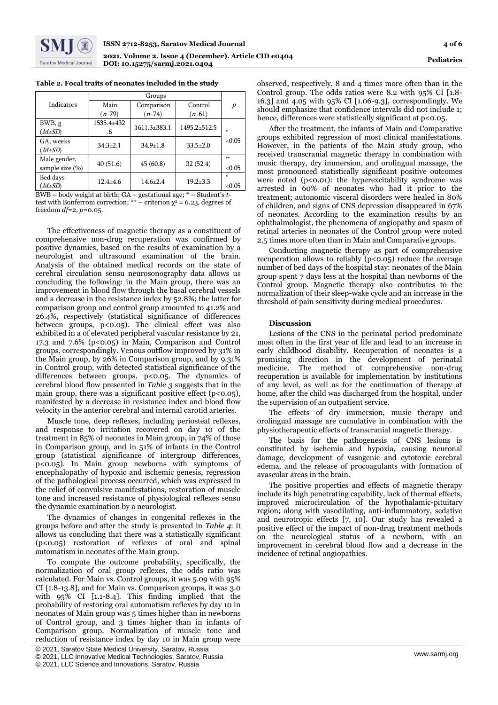

| Indicators                      | Main             | Comparison         | Control          | $\overline{p}$ |
|---------------------------------|------------------|--------------------|------------------|----------------|
|                                 | $(n=79)$         | $(n=74)$           | $(n=61)$         |                |
| BWB, g<br>$(M \pm SD)$          | 1535.4±432<br>.6 | $1611.3 \pm 383.1$ | $1495.2 + 512.5$ | ×.             |
| GA, weeks<br>$(M \pm SD)$       | $34.3 \pm 2.1$   | $34.9 \pm 1.8$     | $33.5 \pm 2.0$   | <0.05          |
| Male gender,<br>sample size (%) | 40(51.6)         | 45(60.8)           | 32(52.4)         | $**$<br><0.05  |
| Bed days<br>$(M \pm SD)$        | $12.4 + 4.6$     | $14.6 \pm 2.4$     | $19.2 \pm 3.3$   | $<$ 0.05       |

| Table 2. Focal traits of neonates included in the study |  |  |  |  |  |  |  |  |  |
|---------------------------------------------------------|--|--|--|--|--|--|--|--|--|
|---------------------------------------------------------|--|--|--|--|--|--|--|--|--|

BWB – body weight at birth; GA – gestational age; \* – Student's *t*test with Bonferroni correction; \*\* – criterion  $\chi^2$  = 6.23, degrees of freedom *df*=2, *p*=0.05.

The effectiveness of magnetic therapy as a constituent of comprehensive non-drug recuperation was confirmed by positive dynamics, based on the results of examination by a neurologist and ultrasound examination of the brain. Analysis of the obtained medical records on the state of cerebral circulation sensu neurosonography data allows us concluding the following: in the Main group, there was an improvement in blood flow through the basal cerebral vessels and a decrease in the resistance index by 52.8%; the latter for comparison group and control group amounted to 41.2% and 26.4%, respectively (statistical significance of differences between groups, p<0.05). The clinical effect was also exhibited in a of elevated peripheral vascular resistance by 21, 17.3 and 7.6% (p<0.05) in Main, Comparison and Control groups, correspondingly. Venous outflow improved by 31% in the Main group, by 26% in Comparison group, and by 9.31% in Control group, with detected statistical significance of the differences between groups, p<0.05. The dynamics of cerebral blood flow presented in *Table 3* suggests that in the main group, there was a significant positive effect  $(p<0.05)$ , manifested by a decrease in resistance index and blood flow velocity in the anterior cerebral and internal carotid arteries.

Muscle tone, deep reflexes, including periosteal reflexes, and response to irritation recovered on day 10 of the treatment in 85% of neonates in Main group, in 74% of those in Comparison group, and in 51% of infants in the Control group (statistical significance of intergroup differences, p<0.05). In Main group newborns with symptoms of encephalopathy of hypoxic and ischemic genesis, regression of the pathological process occurred, which was expressed in the relief of convulsive manifestations, restoration of muscle tone and increased resistance of physiological reflexes sensu the dynamic examination by a neurologist.

The dynamics of changes in congenital reflexes in the groups before and after the study is presented in *Table 4*: it allows us concluding that there was a statistically significant (p<0.05) restoration of reflexes of oral and spinal automatism in neonates of the Main group.

To compute the outcome probability, specifically, the normalization of oral group reflexes, the odds ratio was calculated. For Main vs. Control groups, it was 5.09 with 95% CI [1.8-13.8], and for Main vs. Comparison groups, it was 3.0 with 95% CI [1.1-8.4]. This finding implied that the probability of restoring oral automatism reflexes by day 10 in neonates of Main group was 5 times higher than in newborns of Control group, and 3 times higher than in infants of Comparison group. Normalization of muscle tone and reduction of resistance index by day 10 in Main group were

observed, respectively, 8 and 4 times more often than in the Control group. The odds ratios were 8.2 with 95% CI [1.8- 16.3] and 4.05 with 95% CI [1.06-9.3], correspondingly. We should emphasize that confidence intervals did not include 1; hence, differences were statistically significant at p<0.05.

After the treatment, the infants of Main and Comparative groups exhibited regression of most clinical manifestations. However, in the patients of the Main study group, who received transcranial magnetic therapy in combination with music therapy, dry immersion, and orolingual massage, the most pronounced statistically significant positive outcomes were noted  $(p<0.01)$ : the hyperexcitability syndrome was arrested in 60% of neonates who had it prior to the treatment; autonomic visceral disorders were healed in 80% of children, and signs of CNS depression disappeared in 67% of neonates. According to the examination results by an ophthalmologist, the phenomena of angiopathy and spasm of retinal arteries in neonates of the Control group were noted 2.5 times more often than in Main and Comparative groups.

Conducting magnetic therapy as part of comprehensive recuperation allows to reliably  $(p<0.05)$  reduce the average number of bed days of the hospital stay: neonates of the Main group spent 7 days less at the hospital than newborns of the Control group. Magnetic therapy also contributes to the normalization of their sleep-wake cycle and an increase in the threshold of pain sensitivity during medical procedures.

#### **Discussion**

Lesions of the CNS in the perinatal period predominate most often in the first year of life and lead to an increase in early childhood disability. Recuperation of neonates is a promising direction in the development of perinatal medicine. The method of comprehensive non-drug recuperation is available for implementation by institutions of any level, as well as for the continuation of therapy at home, after the child was discharged from the hospital, under the supervision of an outpatient service.

The effects of dry immersion, music therapy and orolingual massage are cumulative in combination with the physiotherapeutic effects of transcranial magnetic therapy.

The basis for the pathogenesis of CNS lesions is constituted by ischemia and hypoxia, causing neuronal damage, development of vasogenic and cytotoxic cerebral edema, and the release of procoagulants with formation of avascular areas in the brain.

The positive properties and effects of magnetic therapy include its high penetrating capability, lack of thermal effects, improved microcirculation of the hypothalamic-pituitary region; along with vasodilating, anti-inflammatory, sedative and neurotropic effects [7, 10]. Our study has revealed a positive effect of the impact of non-drug treatment methods on the neurological status of a newborn, with an improvement in cerebral blood flow and a decrease in the incidence of retinal angiopathies.

<sup>[</sup> © 2021, Saratov State Medical University, Saratov, Russia

<sup>©</sup> 2021, LLC Innovative Medical Technologies, Saratov, Russia

<sup>©</sup> 2021, LLC Science and Innovations, Saratov, Russia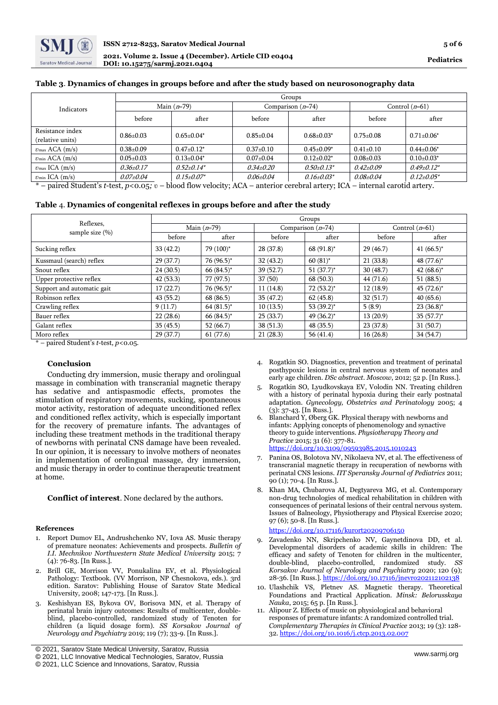## **Table 3**. **Dynamics of changes in groups before and after the study based on neurosonography data**

|                                                              | Groups          |                   |                 |                     |                  |                   |  |  |
|--------------------------------------------------------------|-----------------|-------------------|-----------------|---------------------|------------------|-------------------|--|--|
| Indicators                                                   | Main $(n=79)$   |                   |                 | Comparison $(n=74)$ | Control $(n=61)$ |                   |  |  |
|                                                              | before          | after             | before          | after               | before           | after             |  |  |
| Resistance index                                             | $0.86 \pm 0.03$ | $0.65 + 0.04*$    | $0.85 + 0.04$   | $0.68 \pm 0.03^*$   | $0.75 \pm 0.08$  | $0.71 \pm 0.06^*$ |  |  |
| (relative units)                                             |                 |                   |                 |                     |                  |                   |  |  |
| $v_{\text{max}}$ ACA $(m/s)$                                 | $0.38 \pm 0.09$ | $0.47+0.12*$      | $0.37+0.10$     | $0.45 \pm 0.09^*$   | $0.41 \pm 0.10$  | $0.44 \pm 0.06^*$ |  |  |
| $v_{\rm min}$ ACA $(m/s)$                                    | $0.05 \pm 0.03$ | $0.13+0.04*$      | $0.07 \pm 0.04$ | $0.12 + 0.02^*$     | $0.08 \pm 0.03$  | $0.10+0.03*$      |  |  |
| $v_{\text{max}}$ ICA (m/s)                                   | $0.36 \pm 0.17$ | $0.52 + 0.14*$    | $0.34{\pm}0.20$ | $0.50 \pm 0.13^*$   | $0.42{\pm}0.09$  | $0.49 \pm 0.12^*$ |  |  |
| $v_{\min}$ ICA $(m/s)$                                       | $0.07 \pm 0.04$ | $0.15 \pm 0.07^*$ | $0.06 \pm 0.04$ | $0.16 \pm 0.03^*$   | $0.08 \pm 0.04$  | $0.12{\pm}0.05*$  |  |  |
| $\frac{1}{2}$ . The Fig. 1 state is the set of $\frac{1}{2}$ |                 |                   |                 |                     |                  |                   |  |  |

\* – paired Student's *t*-test, *p*<0.05*;* ʋ – blood flow velocity; ACA – anterior cerebral artery; ICA – internal carotid artery.

## **Table** 4. **Dynamics of congenital reflexes in groups before and after the study**

|                                  | Groups        |              |                     |               |                  |               |  |
|----------------------------------|---------------|--------------|---------------------|---------------|------------------|---------------|--|
| Reflexes,<br>sample size $(\% )$ | Main $(n=79)$ |              | Comparison $(n=74)$ |               | Control $(n=61)$ |               |  |
|                                  | before        | after        | before              | after         | before           | after         |  |
| Sucking reflex                   | 33(42.2)      | 79 (100)*    | 28 (37.8)           | 68 $(91.8)^*$ | 29(46.7)         | 41 $(66.5)^*$ |  |
| Kussmaul (search) reflex         | 29(37.7)      | 76 (96.5)*   | 32(43.2)            | $60(81)$ *    | 21(33.8)         | 48 (77.6)*    |  |
| Snout reflex                     | 24(30.5)      | $66(84.5)^*$ | 39(52.7)            | $51(37.7)^*$  | 30(48.7)         | $42(68.6)^*$  |  |
| Upper protective reflex          | 42(53.3)      | 77 (97.5)    | 37(50)              | 68(50.3)      | 44 (71.6)        | 51(88.5)      |  |
| Support and automatic gait       | 17(22.7)      | 76 (96.5)*   | 11(14.8)            | $72(53.2)^*$  | 12(18.9)         | $45 (72.6)^*$ |  |
| Robinson reflex                  | 43(55.2)      | 68 (86.5)    | 35(47.2)            | 62(45.8)      | 32(51.7)         | 40(65.6)      |  |
| Crawling reflex                  | 9(11.7)       | $64(81.5)^*$ | 10(13.5)            | 53 $(39.2)^*$ | 5(8.9)           | $23(36.8)^*$  |  |
| Bauer reflex                     | 22(28.6)      | $66(84.5)^*$ | 25(33.7)            | 49 $(36.2)^*$ | 13(20.9)         | $35(57.7)^*$  |  |
| Galant reflex                    | 35(45.5)      | 52(66.7)     | 38(51.3)            | 48(35.5)      | 23(37.8)         | 31(50.7)      |  |
| Moro reflex                      | 29(37.7)      | 61(77.6)     | 21(28.3)            | 56(41.4)      | 16(26.8)         | 34 (54.7)     |  |

\* – paired Student's *t*-test, *p*<0.05.

## **Conclusion**

Conducting dry immersion, music therapy and orolingual massage in combination with transcranial magnetic therapy has sedative and antispasmodic effects, promotes the stimulation of respiratory movements, sucking, spontaneous motor activity, restoration of adequate unconditioned reflex and conditioned reflex activity, which is especially important for the recovery of premature infants. The advantages of including these treatment methods in the traditional therapy of newborns with perinatal CNS damage have been revealed. In our opinion, it is necessary to involve mothers of neonates in implementation of orolingual massage, dry immersion, and music therapy in order to continue therapeutic treatment at home.

## **Conflict of interest**. None declared by the authors.

#### **References**

- 1. Report Dumov EL, Andrushchenko NV, Iova AS. Music therapy of premature neonates: Achievements and prospects. *Bulletin of I.I. Mechnikov Northwestern State Medical University* 2015; 7 (4): 76-83. [In Russ.].
- 2. Brill GE, Morrison VV, Ponukalina EV, et al. Physiological Pathology: Textbook. (VV Morrison, NP Chesnokova, eds.). 3rd edition. Saratov: Publishing House of Saratov State Medical University, 2008; 147-173. [In Russ.].
- 3. Keshishyan ES, Bykova OV, Borisova MN, et al. Therapy of perinatal brain injury outcomes: Results of multicenter, doubleblind, placebo-controlled, randomized study of Tenoten for children (a liquid dosage form). *SS Korsakov Journal of Neurology and Psychiatry* 2019; 119 (7); 33-9. [In Russ.].
- [ © 2021, Saratov State Medical University, Saratov, Russia
- 4. Rogatkin SO. Diagnostics, prevention and treatment of perinatal posthypoxic lesions in central nervous system of neonates and early age children. *DSc abstract. Moscow*, 2012; 52 p. [In Russ.].
- 5. Rogatkin SO, Lyudkovskaya EV, Volodin NN. Treating children with a history of perinatal hypoxia during their early postnatal adaptation. *Gynecology, Obstetrics and Perinatology* 2005; 4 (3): 37-43. [In Russ.].
- Blanchard Y, Øberg GK. Physical therapy with newborns and infants: Applying concepts of phenomenology and synactive theory to guide interventions. *Physiotherapy Theory and Practice* 2015; 31 (6): 377-81. <https://doi.org/10.3109/09593985.2015.1010243>
- 7. Panina OS, Bolotova NV, Nikolaeva NV, et al. The effectiveness of transcranial magnetic therapy in recuperation of newborns with perinatal CNS lesions. *ПТ Speransky Journal of Pediatrics* 2011; 90 (1); 70-4. [In Russ.].
- 8. Khan MA, Chubarova AI, Degtyareva MG, et al. Contemporary non-drug technologies of medical rehabilitation in children with consequences of perinatal lesions of their central nervous system. Issues of Balneology, Physiotherapy and Physical Exercise 2020; 97 (6); 50-8. [In Russ.].

<https://doi.org/10.17116/kurort20209706150>

- Zavadenko NN, Skripchenko NV, Gaynetdinova DD, et al. Developmental disorders of academic skills in children: The efficacy and safety of Tenoten for children in the multicenter, double-blind, placebo-controlled, randomized study. *SS Korsakov Journal of Neurology and Psychiatry* 2020; 120 (9); 28-36. [In Russ.]. <https://doi.org/10.17116/jnevro202112102138>
- 10. Ulashchik VS, Pletnev AS. Magnetic therapy. Theoretical Foundations and Practical Application. *Minsk: Belorusskaya Nauka*, 2015; 65 p. [In Russ.].
- 11. Alipour Z. Effects of music on physiological and behavioral responses of premature infants: A randomized controlled trial. *Complementary Therapies in Clinical Practice* 2013; 19 (3): 128- 32. <https://doi.org/10.1016/j.ctcp.2013.02.007>

<sup>©</sup> 2021, LLC Innovative Medical Technologies, Saratov, Russia

<sup>©</sup> 2021, LLC Science and Innovations, Saratov, Russia